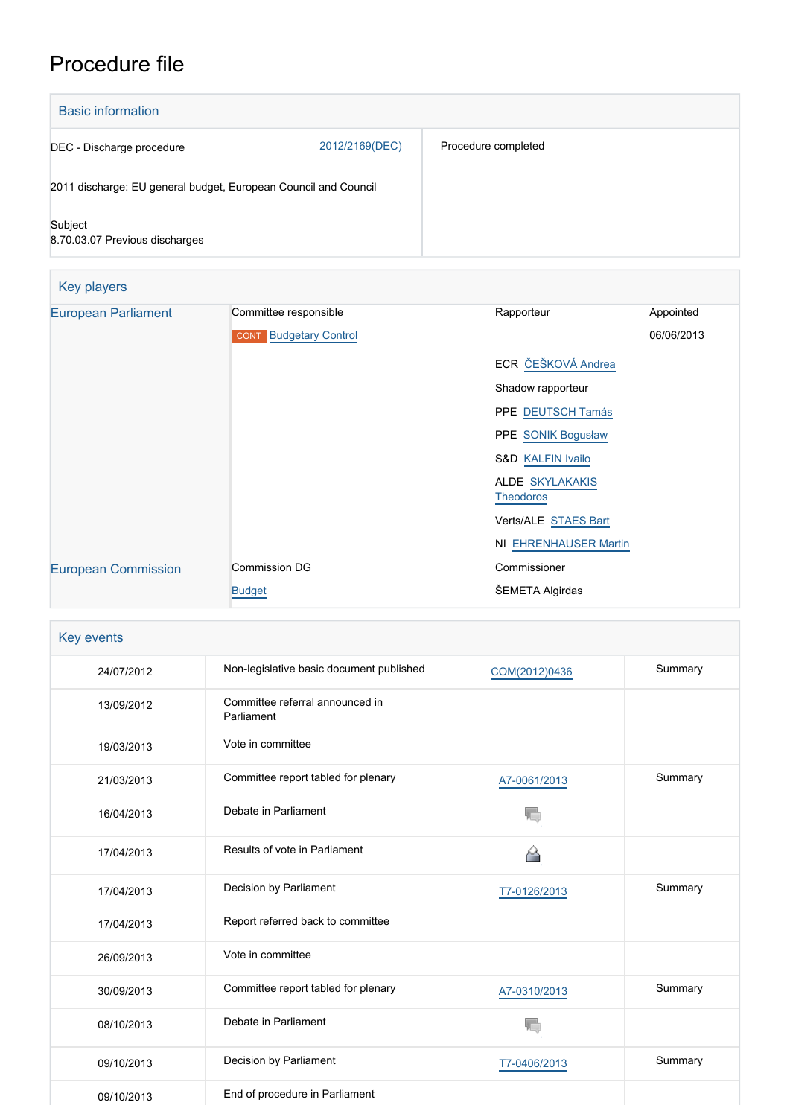# Procedure file

| <b>Basic information</b>                                        |                |                     |
|-----------------------------------------------------------------|----------------|---------------------|
| DEC - Discharge procedure                                       | 2012/2169(DEC) | Procedure completed |
| 2011 discharge: EU general budget, European Council and Council |                |                     |
| Subject<br>8.70.03.07 Previous discharges                       |                |                     |

| <b>Key players</b>         |                               |                                            |            |  |
|----------------------------|-------------------------------|--------------------------------------------|------------|--|
| <b>European Parliament</b> | Committee responsible         | Rapporteur                                 | Appointed  |  |
|                            | <b>CONT</b> Budgetary Control |                                            | 06/06/2013 |  |
|                            |                               | ECR ČEŠKOVÁ Andrea                         |            |  |
|                            |                               | Shadow rapporteur                          |            |  |
|                            |                               | PPE DEUTSCH Tamás                          |            |  |
|                            |                               | PPE SONIK Bogusław                         |            |  |
|                            |                               | <b>S&amp;D KALFIN Ivailo</b>               |            |  |
|                            |                               | <b>ALDE SKYLAKAKIS</b><br><b>Theodoros</b> |            |  |
|                            |                               | Verts/ALE STAES Bart                       |            |  |
|                            |                               | <b>NI EHRENHAUSER Martin</b>               |            |  |
| <b>European Commission</b> | <b>Commission DG</b>          | Commissioner                               |            |  |
|                            | <b>Budget</b>                 | ŠEMETA Algirdas                            |            |  |

| Key events |                                               |               |         |
|------------|-----------------------------------------------|---------------|---------|
| 24/07/2012 | Non-legislative basic document published      | COM(2012)0436 | Summary |
| 13/09/2012 | Committee referral announced in<br>Parliament |               |         |
| 19/03/2013 | Vote in committee                             |               |         |
| 21/03/2013 | Committee report tabled for plenary           | A7-0061/2013  | Summary |
| 16/04/2013 | Debate in Parliament                          |               |         |
| 17/04/2013 | Results of vote in Parliament                 | 6             |         |
| 17/04/2013 | Decision by Parliament                        | T7-0126/2013  | Summary |
| 17/04/2013 | Report referred back to committee             |               |         |
| 26/09/2013 | Vote in committee                             |               |         |
| 30/09/2013 | Committee report tabled for plenary           | A7-0310/2013  | Summary |
| 08/10/2013 | Debate in Parliament                          |               |         |
| 09/10/2013 | Decision by Parliament                        | T7-0406/2013  | Summary |
| 09/10/2013 | End of procedure in Parliament                |               |         |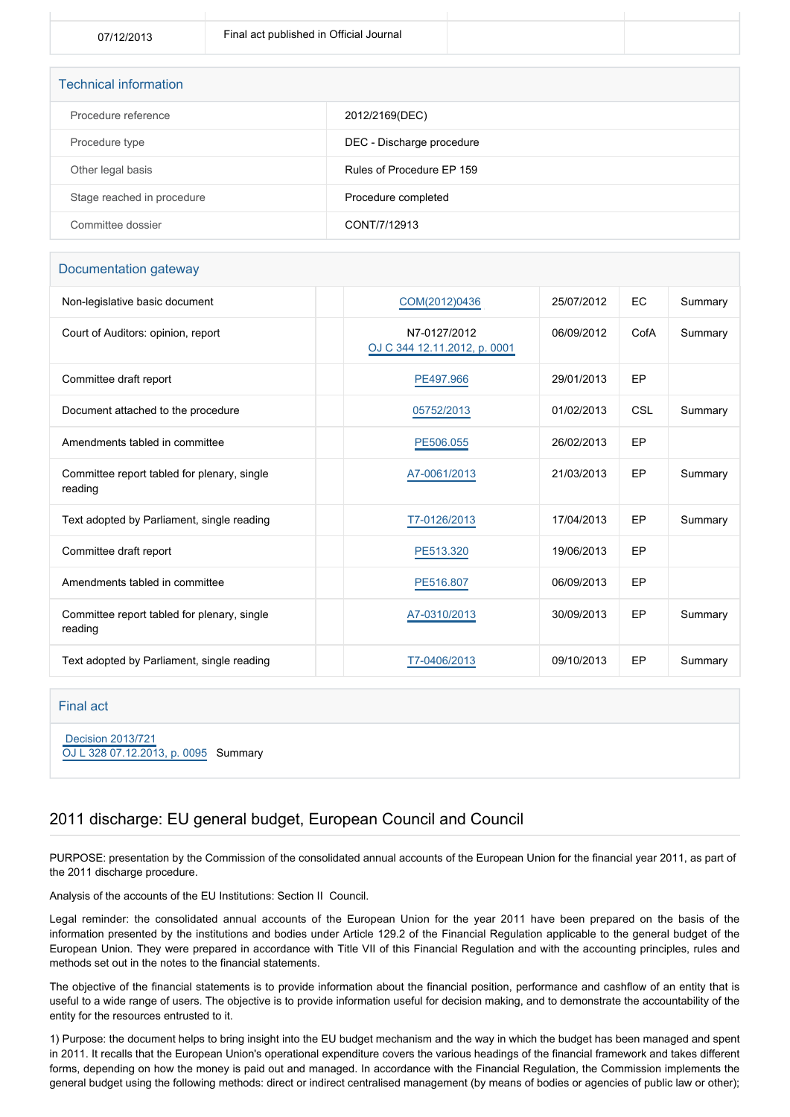| <b>Technical information</b> |                           |  |  |
|------------------------------|---------------------------|--|--|
| Procedure reference          | 2012/2169(DEC)            |  |  |
| Procedure type               | DEC - Discharge procedure |  |  |
| Other legal basis            | Rules of Procedure EP 159 |  |  |
| Stage reached in procedure   | Procedure completed       |  |  |
| Committee dossier            | CONT/7/12913              |  |  |

#### Documentation gateway

| Non-legislative basic document                         | COM(2012)0436                                | 25/07/2012 | EC         | Summary |
|--------------------------------------------------------|----------------------------------------------|------------|------------|---------|
| Court of Auditors: opinion, report                     | N7-0127/2012<br>OJ C 344 12.11.2012, p. 0001 | 06/09/2012 | CofA       | Summary |
| Committee draft report                                 | PE497.966                                    | 29/01/2013 | EP         |         |
| Document attached to the procedure                     | 05752/2013                                   | 01/02/2013 | <b>CSL</b> | Summary |
| Amendments tabled in committee                         | PE506.055                                    | 26/02/2013 | EP         |         |
| Committee report tabled for plenary, single<br>reading | A7-0061/2013                                 | 21/03/2013 | EP         | Summary |
| Text adopted by Parliament, single reading             | T7-0126/2013                                 | 17/04/2013 | EP         | Summary |
| Committee draft report                                 | PE513.320                                    | 19/06/2013 | EP         |         |
| Amendments tabled in committee                         | PE516.807                                    | 06/09/2013 | EP         |         |
| Committee report tabled for plenary, single<br>reading | A7-0310/2013                                 | 30/09/2013 | EP         | Summary |
| Text adopted by Parliament, single reading             | T7-0406/2013                                 | 09/10/2013 | EP         | Summary |

#### Final act

 [Decision 2013/721](https://eur-lex.europa.eu/smartapi/cgi/sga_doc?smartapi!celexplus!prod!CELEXnumdoc&lg=EN&numdoc=32013D0721) [OJ L 328 07.12.2013, p. 0095](https://eur-lex.europa.eu/legal-content/EN/TXT/?uri=OJ:L:2013:328:TOC) Summary

### 2011 discharge: EU general budget, European Council and Council

PURPOSE: presentation by the Commission of the consolidated annual accounts of the European Union for the financial year 2011, as part of the 2011 discharge procedure.

Analysis of the accounts of the EU Institutions: Section II Council.

Legal reminder: the consolidated annual accounts of the European Union for the year 2011 have been prepared on the basis of the information presented by the institutions and bodies under Article 129.2 of the Financial Regulation applicable to the general budget of the European Union. They were prepared in accordance with Title VII of this Financial Regulation and with the accounting principles, rules and methods set out in the notes to the financial statements.

The objective of the financial statements is to provide information about the financial position, performance and cashflow of an entity that is useful to a wide range of users. The objective is to provide information useful for decision making, and to demonstrate the accountability of the entity for the resources entrusted to it.

1) Purpose: the document helps to bring insight into the EU budget mechanism and the way in which the budget has been managed and spent in 2011. It recalls that the European Union's operational expenditure covers the various headings of the financial framework and takes different forms, depending on how the money is paid out and managed. In accordance with the Financial Regulation, the Commission implements the general budget using the following methods: direct or indirect centralised management (by means of bodies or agencies of public law or other);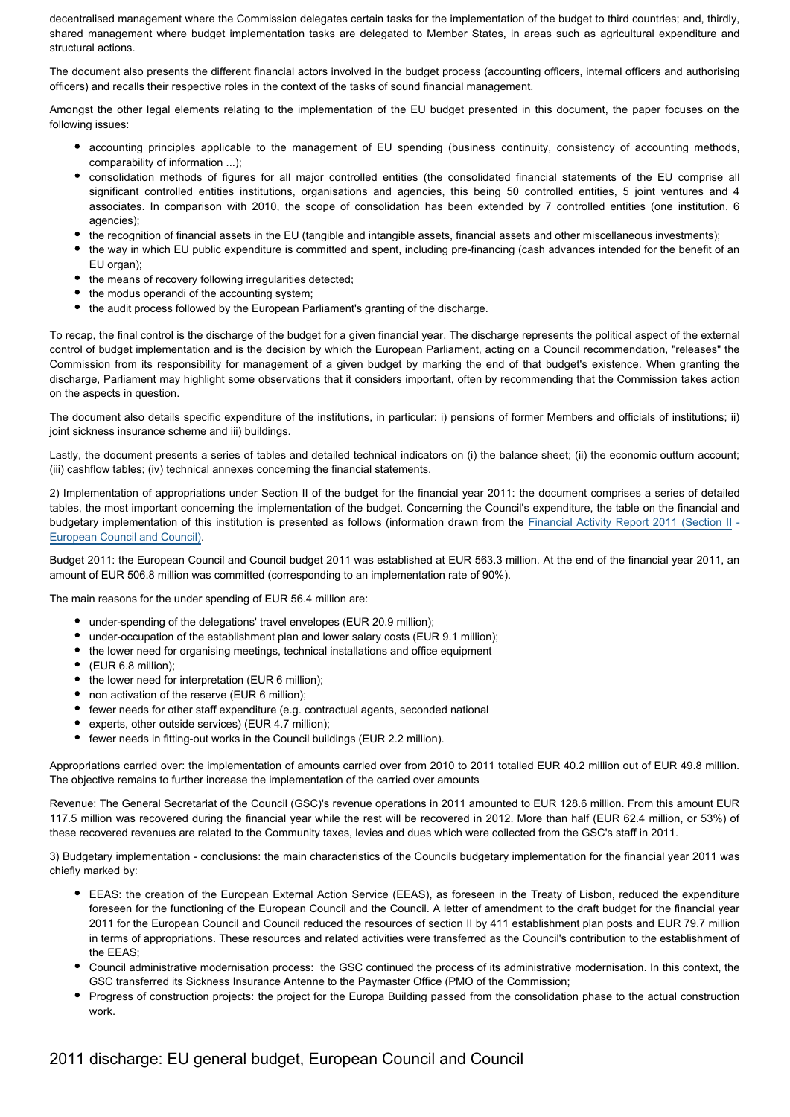decentralised management where the Commission delegates certain tasks for the implementation of the budget to third countries; and, thirdly, shared management where budget implementation tasks are delegated to Member States, in areas such as agricultural expenditure and structural actions.

The document also presents the different financial actors involved in the budget process (accounting officers, internal officers and authorising officers) and recalls their respective roles in the context of the tasks of sound financial management.

Amongst the other legal elements relating to the implementation of the EU budget presented in this document, the paper focuses on the following issues:

- accounting principles applicable to the management of EU spending (business continuity, consistency of accounting methods, comparability of information ...);
- consolidation methods of figures for all major controlled entities (the consolidated financial statements of the EU comprise all significant controlled entities institutions, organisations and agencies, this being 50 controlled entities, 5 joint ventures and 4 associates. In comparison with 2010, the scope of consolidation has been extended by 7 controlled entities (one institution, 6 agencies);
- the recognition of financial assets in the EU (tangible and intangible assets, financial assets and other miscellaneous investments);
- the way in which EU public expenditure is committed and spent, including pre-financing (cash advances intended for the benefit of an EU organ);
- the means of recovery following irregularities detected;
- the modus operandi of the accounting system;
- the audit process followed by the European Parliament's granting of the discharge.

To recap, the final control is the discharge of the budget for a given financial year. The discharge represents the political aspect of the external control of budget implementation and is the decision by which the European Parliament, acting on a Council recommendation, "releases" the Commission from its responsibility for management of a given budget by marking the end of that budget's existence. When granting the discharge, Parliament may highlight some observations that it considers important, often by recommending that the Commission takes action on the aspects in question.

The document also details specific expenditure of the institutions, in particular: i) pensions of former Members and officials of institutions; ii) joint sickness insurance scheme and iii) buildings.

Lastly, the document presents a series of tables and detailed technical indicators on (i) the balance sheet; (ii) the economic outturn account; (iii) cashflow tables; (iv) technical annexes concerning the financial statements.

2) Implementation of appropriations under Section II of the budget for the financial year 2011: the document comprises a series of detailed tables, the most important concerning the implementation of the budget. Concerning the Council's expenditure, the table on the financial and budgetary implementation of this institution is presented as follows (information drawn from the [Financial Activity Report 2011 \(Section II](http://register.consilium.europa.eu/pdf/en/12/st12/st12052.en12.pdf) -[European Council and Council\).](http://register.consilium.europa.eu/pdf/en/12/st12/st12052.en12.pdf)

Budget 2011: the European Council and Council budget 2011 was established at EUR 563.3 million. At the end of the financial year 2011, an amount of EUR 506.8 million was committed (corresponding to an implementation rate of 90%).

The main reasons for the under spending of EUR 56.4 million are:

- under-spending of the delegations' travel envelopes (EUR 20.9 million);
- under-occupation of the establishment plan and lower salary costs (EUR 9.1 million);
- the lower need for organising meetings, technical installations and office equipment
- (EUR 6.8 million);
- the lower need for interpretation (EUR 6 million);
- non activation of the reserve (EUR 6 million);
- fewer needs for other staff expenditure (e.g. contractual agents, seconded national
- experts, other outside services) (EUR 4.7 million);
- fewer needs in fitting-out works in the Council buildings (EUR 2.2 million).

Appropriations carried over: the implementation of amounts carried over from 2010 to 2011 totalled EUR 40.2 million out of EUR 49.8 million. The objective remains to further increase the implementation of the carried over amounts

Revenue: The General Secretariat of the Council (GSC)'s revenue operations in 2011 amounted to EUR 128.6 million. From this amount EUR 117.5 million was recovered during the financial year while the rest will be recovered in 2012. More than half (EUR 62.4 million, or 53%) of these recovered revenues are related to the Community taxes, levies and dues which were collected from the GSC's staff in 2011.

3) Budgetary implementation - conclusions: the main characteristics of the Councils budgetary implementation for the financial year 2011 was chiefly marked by:

- EEAS: the creation of the European External Action Service (EEAS), as foreseen in the Treaty of Lisbon, reduced the expenditure foreseen for the functioning of the European Council and the Council. A letter of amendment to the draft budget for the financial year 2011 for the European Council and Council reduced the resources of section II by 411 establishment plan posts and EUR 79.7 million in terms of appropriations. These resources and related activities were transferred as the Council's contribution to the establishment of the EEAS;
- Council administrative modernisation process: the GSC continued the process of its administrative modernisation. In this context, the GSC transferred its Sickness Insurance Antenne to the Paymaster Office (PMO of the Commission;
- Progress of construction projects: the project for the Europa Building passed from the consolidation phase to the actual construction work.

# 2011 discharge: EU general budget, European Council and Council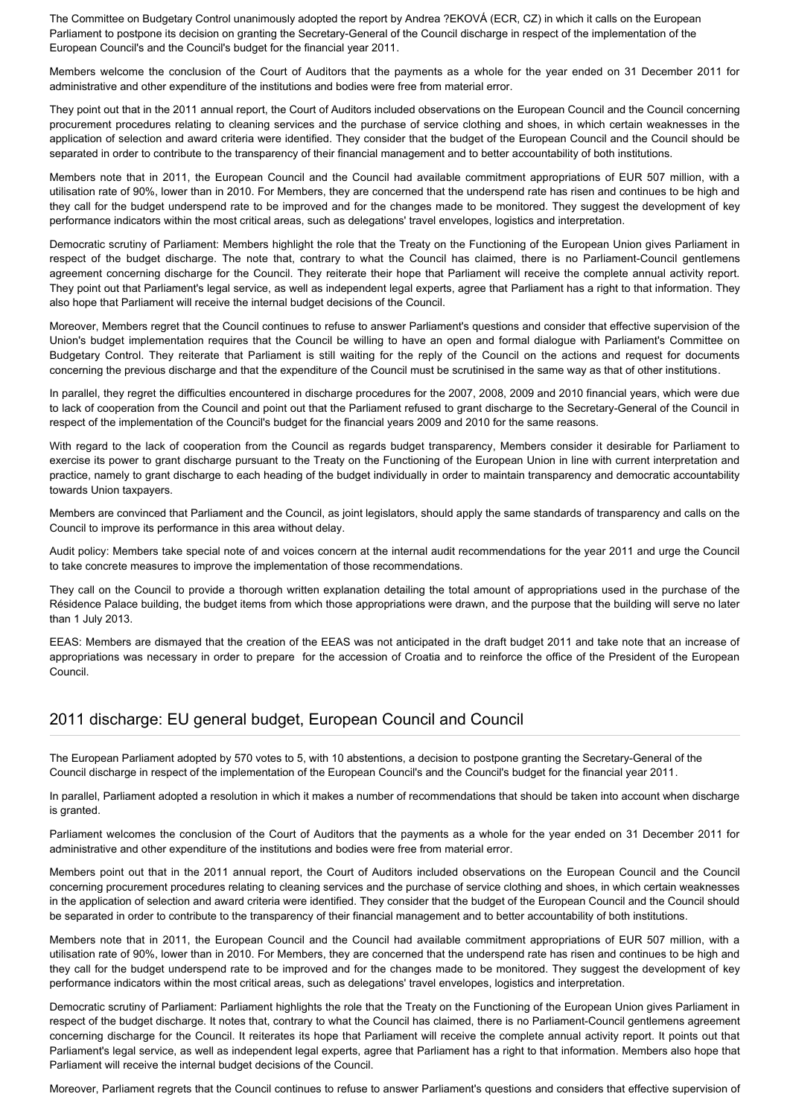The Committee on Budgetary Control unanimously adopted the report by Andrea ?EKOVÁ (ECR, CZ) in which it calls on the European Parliament to postpone its decision on granting the Secretary-General of the Council discharge in respect of the implementation of the European Council's and the Council's budget for the financial year 2011.

Members welcome the conclusion of the Court of Auditors that the payments as a whole for the year ended on 31 December 2011 for administrative and other expenditure of the institutions and bodies were free from material error.

They point out that in the 2011 annual report, the Court of Auditors included observations on the European Council and the Council concerning procurement procedures relating to cleaning services and the purchase of service clothing and shoes, in which certain weaknesses in the application of selection and award criteria were identified. They consider that the budget of the European Council and the Council should be separated in order to contribute to the transparency of their financial management and to better accountability of both institutions.

Members note that in 2011, the European Council and the Council had available commitment appropriations of EUR 507 million, with a utilisation rate of 90%, lower than in 2010. For Members, they are concerned that the underspend rate has risen and continues to be high and they call for the budget underspend rate to be improved and for the changes made to be monitored. They suggest the development of key performance indicators within the most critical areas, such as delegations' travel envelopes, logistics and interpretation.

Democratic scrutiny of Parliament: Members highlight the role that the Treaty on the Functioning of the European Union gives Parliament in respect of the budget discharge. The note that, contrary to what the Council has claimed, there is no Parliament-Council gentlemens agreement concerning discharge for the Council. They reiterate their hope that Parliament will receive the complete annual activity report. They point out that Parliament's legal service, as well as independent legal experts, agree that Parliament has a right to that information. They also hope that Parliament will receive the internal budget decisions of the Council.

Moreover, Members regret that the Council continues to refuse to answer Parliament's questions and consider that effective supervision of the Union's budget implementation requires that the Council be willing to have an open and formal dialogue with Parliament's Committee on Budgetary Control. They reiterate that Parliament is still waiting for the reply of the Council on the actions and request for documents concerning the previous discharge and that the expenditure of the Council must be scrutinised in the same way as that of other institutions.

In parallel, they regret the difficulties encountered in discharge procedures for the 2007, 2008, 2009 and 2010 financial years, which were due to lack of cooperation from the Council and point out that the Parliament refused to grant discharge to the Secretary-General of the Council in respect of the implementation of the Council's budget for the financial years 2009 and 2010 for the same reasons.

With regard to the lack of cooperation from the Council as regards budget transparency, Members consider it desirable for Parliament to exercise its power to grant discharge pursuant to the Treaty on the Functioning of the European Union in line with current interpretation and practice, namely to grant discharge to each heading of the budget individually in order to maintain transparency and democratic accountability towards Union taxpayers.

Members are convinced that Parliament and the Council, as joint legislators, should apply the same standards of transparency and calls on the Council to improve its performance in this area without delay.

Audit policy: Members take special note of and voices concern at the internal audit recommendations for the year 2011 and urge the Council to take concrete measures to improve the implementation of those recommendations.

They call on the Council to provide a thorough written explanation detailing the total amount of appropriations used in the purchase of the Résidence Palace building, the budget items from which those appropriations were drawn, and the purpose that the building will serve no later than 1 July 2013.

EEAS: Members are dismayed that the creation of the EEAS was not anticipated in the draft budget 2011 and take note that an increase of appropriations was necessary in order to prepare for the accession of Croatia and to reinforce the office of the President of the European Council.

### 2011 discharge: EU general budget, European Council and Council

The European Parliament adopted by 570 votes to 5, with 10 abstentions, a decision to postpone granting the Secretary-General of the Council discharge in respect of the implementation of the European Council's and the Council's budget for the financial year 2011.

In parallel, Parliament adopted a resolution in which it makes a number of recommendations that should be taken into account when discharge is granted.

Parliament welcomes the conclusion of the Court of Auditors that the payments as a whole for the year ended on 31 December 2011 for administrative and other expenditure of the institutions and bodies were free from material error.

Members point out that in the 2011 annual report, the Court of Auditors included observations on the European Council and the Council concerning procurement procedures relating to cleaning services and the purchase of service clothing and shoes, in which certain weaknesses in the application of selection and award criteria were identified. They consider that the budget of the European Council and the Council should be separated in order to contribute to the transparency of their financial management and to better accountability of both institutions.

Members note that in 2011, the European Council and the Council had available commitment appropriations of EUR 507 million, with a utilisation rate of 90%, lower than in 2010. For Members, they are concerned that the underspend rate has risen and continues to be high and they call for the budget underspend rate to be improved and for the changes made to be monitored. They suggest the development of key performance indicators within the most critical areas, such as delegations' travel envelopes, logistics and interpretation.

Democratic scrutiny of Parliament: Parliament highlights the role that the Treaty on the Functioning of the European Union gives Parliament in respect of the budget discharge. It notes that, contrary to what the Council has claimed, there is no Parliament-Council gentlemens agreement concerning discharge for the Council. It reiterates its hope that Parliament will receive the complete annual activity report. It points out that Parliament's legal service, as well as independent legal experts, agree that Parliament has a right to that information. Members also hope that Parliament will receive the internal budget decisions of the Council.

Moreover, Parliament regrets that the Council continues to refuse to answer Parliament's questions and considers that effective supervision of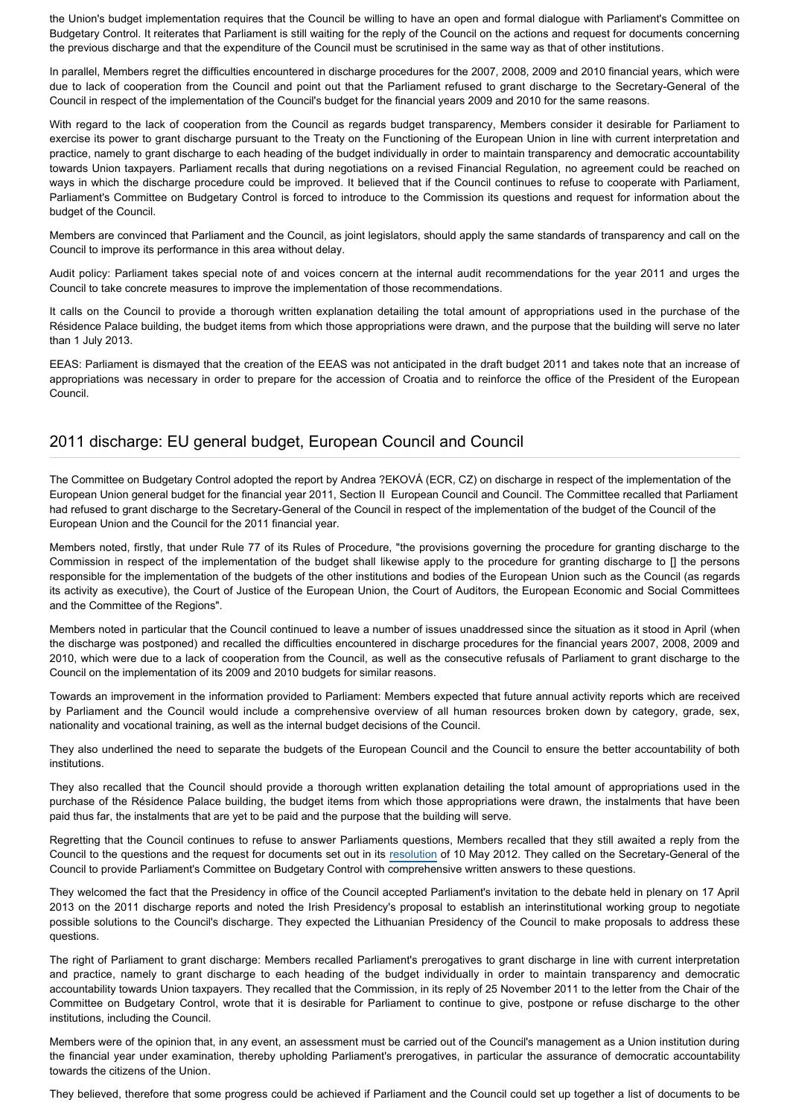the Union's budget implementation requires that the Council be willing to have an open and formal dialogue with Parliament's Committee on Budgetary Control. It reiterates that Parliament is still waiting for the reply of the Council on the actions and request for documents concerning the previous discharge and that the expenditure of the Council must be scrutinised in the same way as that of other institutions.

In parallel, Members regret the difficulties encountered in discharge procedures for the 2007, 2008, 2009 and 2010 financial years, which were due to lack of cooperation from the Council and point out that the Parliament refused to grant discharge to the Secretary-General of the Council in respect of the implementation of the Council's budget for the financial years 2009 and 2010 for the same reasons.

With regard to the lack of cooperation from the Council as regards budget transparency, Members consider it desirable for Parliament to exercise its power to grant discharge pursuant to the Treaty on the Functioning of the European Union in line with current interpretation and practice, namely to grant discharge to each heading of the budget individually in order to maintain transparency and democratic accountability towards Union taxpayers. Parliament recalls that during negotiations on a revised Financial Regulation, no agreement could be reached on ways in which the discharge procedure could be improved. It believed that if the Council continues to refuse to cooperate with Parliament, Parliament's Committee on Budgetary Control is forced to introduce to the Commission its questions and request for information about the budget of the Council.

Members are convinced that Parliament and the Council, as joint legislators, should apply the same standards of transparency and call on the Council to improve its performance in this area without delay.

Audit policy: Parliament takes special note of and voices concern at the internal audit recommendations for the year 2011 and urges the Council to take concrete measures to improve the implementation of those recommendations.

It calls on the Council to provide a thorough written explanation detailing the total amount of appropriations used in the purchase of the Résidence Palace building, the budget items from which those appropriations were drawn, and the purpose that the building will serve no later than 1 July 2013.

EEAS: Parliament is dismayed that the creation of the EEAS was not anticipated in the draft budget 2011 and takes note that an increase of appropriations was necessary in order to prepare for the accession of Croatia and to reinforce the office of the President of the European Council.

### 2011 discharge: EU general budget, European Council and Council

The Committee on Budgetary Control adopted the report by Andrea ?EKOVÁ (ECR, CZ) on discharge in respect of the implementation of the European Union general budget for the financial year 2011, Section II European Council and Council. The Committee recalled that Parliament had refused to grant discharge to the Secretary-General of the Council in respect of the implementation of the budget of the Council of the European Union and the Council for the 2011 financial year.

Members noted, firstly, that under Rule 77 of its Rules of Procedure, "the provisions governing the procedure for granting discharge to the Commission in respect of the implementation of the budget shall likewise apply to the procedure for granting discharge to [] the persons responsible for the implementation of the budgets of the other institutions and bodies of the European Union such as the Council (as regards its activity as executive), the Court of Justice of the European Union, the Court of Auditors, the European Economic and Social Committees and the Committee of the Regions".

Members noted in particular that the Council continued to leave a number of issues unaddressed since the situation as it stood in April (when the discharge was postponed) and recalled the difficulties encountered in discharge procedures for the financial years 2007, 2008, 2009 and 2010, which were due to a lack of cooperation from the Council, as well as the consecutive refusals of Parliament to grant discharge to the Council on the implementation of its 2009 and 2010 budgets for similar reasons.

Towards an improvement in the information provided to Parliament: Members expected that future annual activity reports which are received by Parliament and the Council would include a comprehensive overview of all human resources broken down by category, grade, sex, nationality and vocational training, as well as the internal budget decisions of the Council.

They also underlined the need to separate the budgets of the European Council and the Council to ensure the better accountability of both institutions.

They also recalled that the Council should provide a thorough written explanation detailing the total amount of appropriations used in the purchase of the Résidence Palace building, the budget items from which those appropriations were drawn, the instalments that have been paid thus far, the instalments that are yet to be paid and the purpose that the building will serve.

Regretting that the Council continues to refuse to answer Parliaments questions, Members recalled that they still awaited a reply from the Council to the questions and the request for documents set out in its [resolution](http://www.europarl.europa.eu/oeil/popups/ficheprocedure.do?reference=2011/2203(DEC)&l=en) of 10 May 2012. They called on the Secretary-General of the Council to provide Parliament's Committee on Budgetary Control with comprehensive written answers to these questions.

They welcomed the fact that the Presidency in office of the Council accepted Parliament's invitation to the debate held in plenary on 17 April 2013 on the 2011 discharge reports and noted the Irish Presidency's proposal to establish an interinstitutional working group to negotiate possible solutions to the Council's discharge. They expected the Lithuanian Presidency of the Council to make proposals to address these questions.

The right of Parliament to grant discharge: Members recalled Parliament's prerogatives to grant discharge in line with current interpretation and practice, namely to grant discharge to each heading of the budget individually in order to maintain transparency and democratic accountability towards Union taxpayers. They recalled that the Commission, in its reply of 25 November 2011 to the letter from the Chair of the Committee on Budgetary Control, wrote that it is desirable for Parliament to continue to give, postpone or refuse discharge to the other institutions, including the Council.

Members were of the opinion that, in any event, an assessment must be carried out of the Council's management as a Union institution during the financial year under examination, thereby upholding Parliament's prerogatives, in particular the assurance of democratic accountability towards the citizens of the Union.

They believed, therefore that some progress could be achieved if Parliament and the Council could set up together a list of documents to be